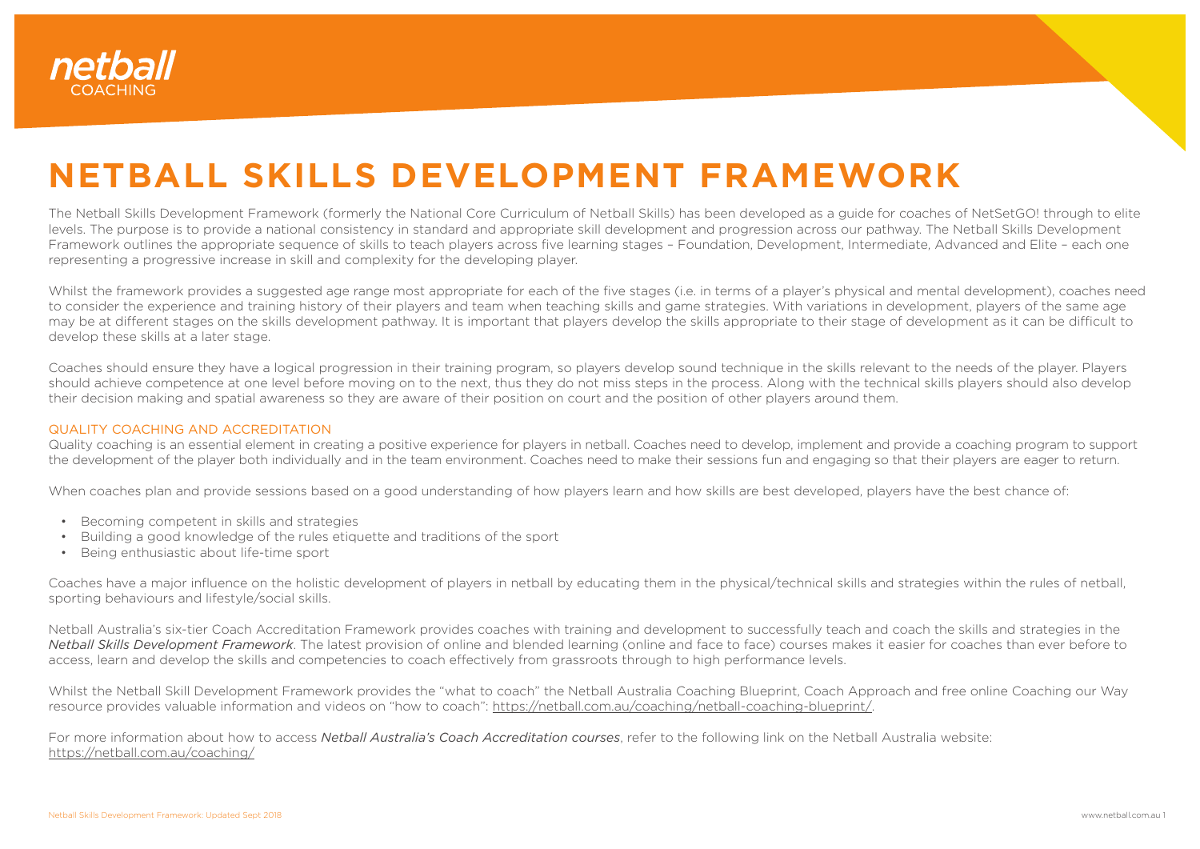

## **NETBALL SKILLS DEVELOPMENT FRAMEWORK**

The Netball Skills Development Framework (formerly the National Core Curriculum of Netball Skills) has been developed as a guide for coaches of NetSetGO! through to elite levels. The purpose is to provide a national consistency in standard and appropriate skill development and progression across our pathway. The Netball Skills Development Framework outlines the appropriate sequence of skills to teach players across five learning stages – Foundation, Development, Intermediate, Advanced and Elite – each one representing a progressive increase in skill and complexity for the developing player.

Whilst the framework provides a suggested age range most appropriate for each of the five stages (i.e. in terms of a player's physical and mental development), coaches need to consider the experience and training history of their players and team when teaching skills and game strategies. With variations in development, players of the same age may be at different stages on the skills development pathway. It is important that players develop the skills appropriate to their stage of development as it can be difficult to develop these skills at a later stage.

Coaches should ensure they have a logical progression in their training program, so players develop sound technique in the skills relevant to the needs of the player. Players should achieve competence at one level before moving on to the next, thus they do not miss steps in the process. Along with the technical skills players should also develop their decision making and spatial awareness so they are aware of their position on court and the position of other players around them.

## QUALITY COACHING AND ACCREDITATION

Quality coaching is an essential element in creating a positive experience for players in netball. Coaches need to develop, implement and provide a coaching program to support the development of the player both individually and in the team environment. Coaches need to make their sessions fun and engaging so that their players are eager to return.

When coaches plan and provide sessions based on a good understanding of how players learn and how skills are best developed, players have the best chance of:

- Becoming competent in skills and strategies
- Building a good knowledge of the rules etiquette and traditions of the sport
- Being enthusiastic about life-time sport

Coaches have a major influence on the holistic development of players in netball by educating them in the physical/technical skills and strategies within the rules of netball, sporting behaviours and lifestyle/social skills.

Netball Australia's six-tier Coach Accreditation Framework provides coaches with training and development to successfully teach and coach the skills and strategies in the *Netball Skills Development Framework*. The latest provision of online and blended learning (online and face to face) courses makes it easier for coaches than ever before to access, learn and develop the skills and competencies to coach effectively from grassroots through to high performance levels.

Whilst the Netball Skill Development Framework provides the "what to coach" the Netball Australia Coaching Blueprint, Coach Approach and free online Coaching our Way resource provides valuable information and videos on "how to coach": [https://netball.com.au/coaching/netball-coaching-blueprint/.](https://netball.com.au/coaching/netball-coaching-blueprint/)

For more information about how to access *Netball Australia's Coach Accreditation courses*, refer to the following link on the Netball Australia website: [https://netball.com.au/coaching/](https://netball.com.au/coaching/ )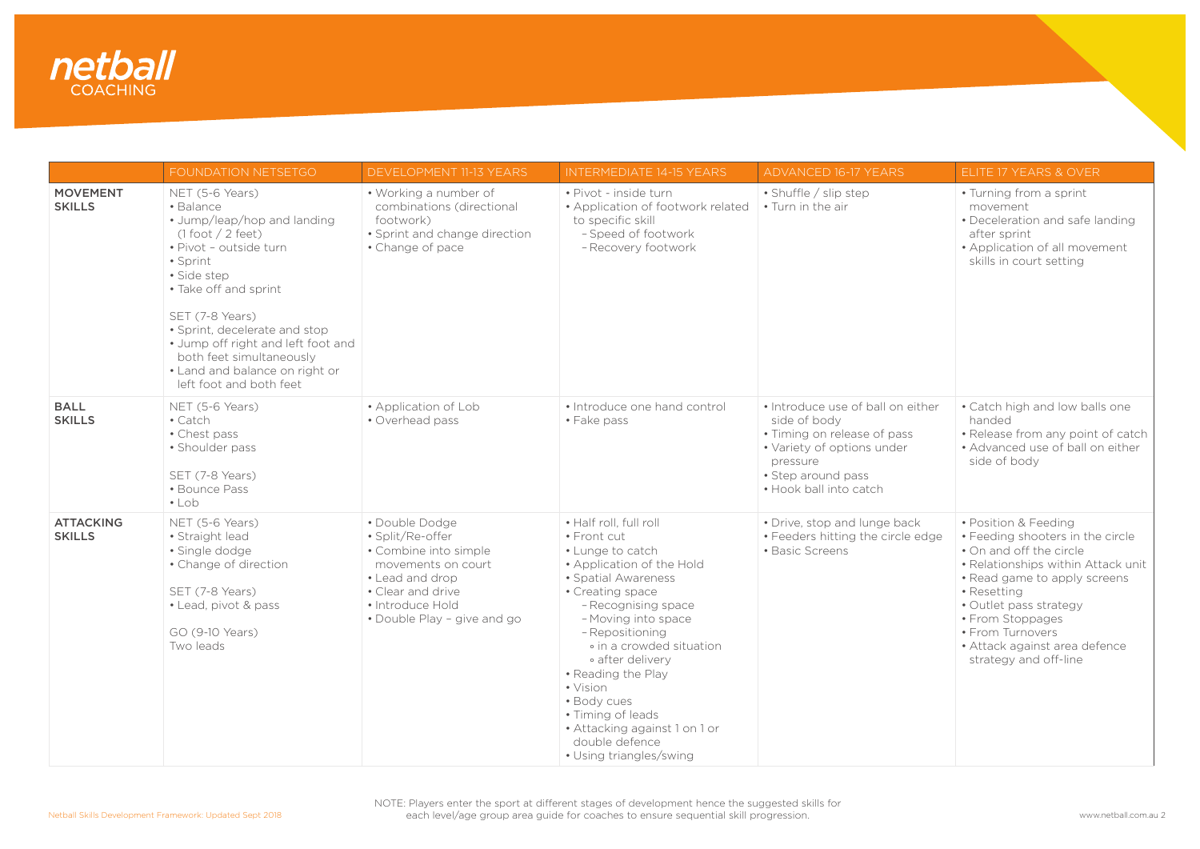

|                                   | FOUNDATION NETSETGO                                                                                                                                                                                                                                                                                                                                  | <b>DEVELOPMENT 11-13 YEARS</b>                                                                                                                                               | <b>INTERMEDIATE 14-15 YEARS</b>                                                                                                                                                                                                                                                                                                                                                                        | <b>ADVANCED 16-17 YEARS</b>                                                                                                                                                | ELITE 17 YEARS & OVER                                                                                                                                                                                                                                                                                |
|-----------------------------------|------------------------------------------------------------------------------------------------------------------------------------------------------------------------------------------------------------------------------------------------------------------------------------------------------------------------------------------------------|------------------------------------------------------------------------------------------------------------------------------------------------------------------------------|--------------------------------------------------------------------------------------------------------------------------------------------------------------------------------------------------------------------------------------------------------------------------------------------------------------------------------------------------------------------------------------------------------|----------------------------------------------------------------------------------------------------------------------------------------------------------------------------|------------------------------------------------------------------------------------------------------------------------------------------------------------------------------------------------------------------------------------------------------------------------------------------------------|
| <b>MOVEMENT</b><br><b>SKILLS</b>  | NET (5-6 Years)<br>· Balance<br>• Jump/leap/hop and landing<br>$(1$ foot $/2$ feet)<br>· Pivot - outside turn<br>• Sprint<br>· Side step<br>· Take off and sprint<br>SET (7-8 Years)<br>· Sprint, decelerate and stop<br>• Jump off right and left foot and<br>both feet simultaneously<br>• Land and balance on right or<br>left foot and both feet | • Working a number of<br>combinations (directional<br>footwork)<br>• Sprint and change direction<br>• Change of pace                                                         | · Pivot - inside turn<br>• Application of footwork related<br>to specific skill<br>- Speed of footwork<br>- Recovery footwork                                                                                                                                                                                                                                                                          | • Shuffle / slip step<br>• Turn in the air                                                                                                                                 | • Turning from a sprint<br>movement<br>• Deceleration and safe landing<br>after sprint<br>• Application of all movement<br>skills in court setting                                                                                                                                                   |
| <b>BALL</b><br><b>SKILLS</b>      | NET (5-6 Years)<br>• Catch<br>• Chest pass<br>· Shoulder pass<br>SET (7-8 Years)<br>• Bounce Pass<br>$\cdot$ Lob                                                                                                                                                                                                                                     | • Application of Lob<br>• Overhead pass                                                                                                                                      | • Introduce one hand control<br>• Fake pass                                                                                                                                                                                                                                                                                                                                                            | . Introduce use of ball on either<br>side of body<br>• Timing on release of pass<br>• Variety of options under<br>pressure<br>• Step around pass<br>. Hook ball into catch | · Catch high and low balls one<br>handed<br>• Release from any point of catch<br>• Advanced use of ball on either<br>side of body                                                                                                                                                                    |
| <b>ATTACKING</b><br><b>SKILLS</b> | NET (5-6 Years)<br>• Straight lead<br>· Single dodge<br>• Change of direction<br>SET (7-8 Years)<br>• Lead, pivot & pass<br>GO (9-10 Years)<br>Two leads                                                                                                                                                                                             | · Double Dodge<br>· Split/Re-offer<br>• Combine into simple<br>movements on court<br>• Lead and drop<br>• Clear and drive<br>• Introduce Hold<br>• Double Play - give and go | • Half roll, full roll<br>• Front cut<br>• Lunge to catch<br>• Application of the Hold<br>• Spatial Awareness<br>• Creating space<br>- Recognising space<br>- Moving into space<br>- Repositioning<br>• in a crowded situation<br>• after delivery<br>• Reading the Play<br>• Vision<br>· Body cues<br>• Timing of leads<br>· Attacking against 1 on 1 or<br>double defence<br>• Using triangles/swing | • Drive, stop and lunge back<br>• Feeders hitting the circle edge<br>• Basic Screens                                                                                       | • Position & Feeding<br>• Feeding shooters in the circle<br>. On and off the circle<br>• Relationships within Attack unit<br>• Read game to apply screens<br>• Resetting<br>• Outlet pass strategy<br>• From Stoppages<br>• From Turnovers<br>· Attack against area defence<br>strategy and off-line |